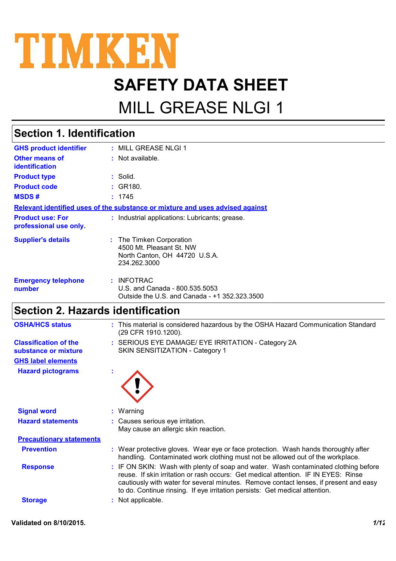

# **SAFETY DATA SHEET**

# MILL GREASE NLGI 1

## **Section 1. Identification**

| <b>GHS product identifier</b>                     | : MILL GREASE NLGI 1                                                                                  |
|---------------------------------------------------|-------------------------------------------------------------------------------------------------------|
| Other means of<br><i>identification</i>           | $:$ Not available.                                                                                    |
| <b>Product type</b>                               | : Solid.                                                                                              |
| <b>Product code</b>                               | : GR180.                                                                                              |
| <b>MSDS#</b>                                      | : 1745                                                                                                |
|                                                   | Relevant identified uses of the substance or mixture and uses advised against                         |
| <b>Product use: For</b><br>professional use only. | : Industrial applications: Lubricants; grease.                                                        |
| <b>Supplier's details</b>                         | : The Timken Corporation<br>4500 Mt. Pleasant St. NW<br>North Canton, OH 44720 U.S.A.<br>234.262.3000 |
| <b>Emergency telephone</b><br>number              | : INFOTRAC<br>U.S. and Canada - 800.535.5053<br>Outside the U.S. and Canada - +1 352.323.3500         |

## **Section 2. Hazards identification**

| <b>OSHA/HCS status</b>                               | : This material is considered hazardous by the OSHA Hazard Communication Standard<br>(29 CFR 1910.1200).                                                                                                                                                                                                                                          |
|------------------------------------------------------|---------------------------------------------------------------------------------------------------------------------------------------------------------------------------------------------------------------------------------------------------------------------------------------------------------------------------------------------------|
| <b>Classification of the</b><br>substance or mixture | : SERIOUS EYE DAMAGE/ EYE IRRITATION - Category 2A<br>SKIN SENSITIZATION - Category 1                                                                                                                                                                                                                                                             |
| <b>GHS label elements</b>                            |                                                                                                                                                                                                                                                                                                                                                   |
| <b>Hazard pictograms</b>                             |                                                                                                                                                                                                                                                                                                                                                   |
| <b>Signal word</b>                                   | $:$ Warning                                                                                                                                                                                                                                                                                                                                       |
| <b>Hazard statements</b>                             | : Causes serious eye irritation.<br>May cause an allergic skin reaction.                                                                                                                                                                                                                                                                          |
| <b>Precautionary statements</b>                      |                                                                                                                                                                                                                                                                                                                                                   |
| <b>Prevention</b>                                    | : Wear protective gloves. Wear eye or face protection. Wash hands thoroughly after<br>handling. Contaminated work clothing must not be allowed out of the workplace.                                                                                                                                                                              |
| <b>Response</b>                                      | : IF ON SKIN: Wash with plenty of soap and water. Wash contaminated clothing before<br>reuse. If skin irritation or rash occurs: Get medical attention. IF IN EYES: Rinse<br>cautiously with water for several minutes. Remove contact lenses, if present and easy<br>to do. Continue rinsing. If eye irritation persists: Get medical attention. |
| <b>Storage</b>                                       | : Not applicable.                                                                                                                                                                                                                                                                                                                                 |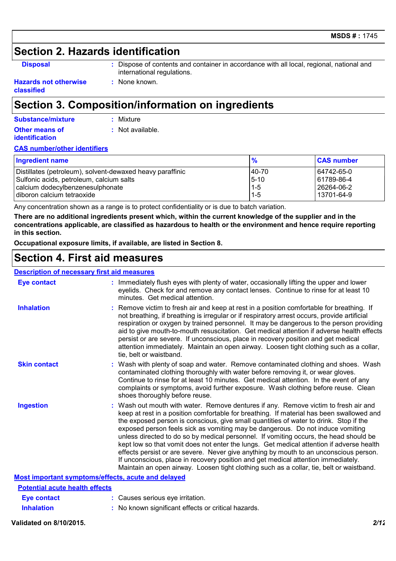### **Section 2. Hazards identification**

**Disposal :** Dispose of contents and container in accordance with all local, regional, national and international regulations.

#### **Hazards not otherwise classified**

# **Section 3. Composition/information on ingredients**

**:** None known.

### **Substance/mixture**

**:** Not available. **:** Mixture

#### **Other means of identification**

### **CAS number/other identifiers**

| <b>Ingredient name</b>                                    | $\frac{9}{6}$ | <b>CAS number</b> |
|-----------------------------------------------------------|---------------|-------------------|
| Distillates (petroleum), solvent-dewaxed heavy paraffinic | 40-70         | 64742-65-0        |
| Sulfonic acids, petroleum, calcium salts                  | $5 - 10$      | 61789-86-4        |
| calcium dodecylbenzenesulphonate                          | $1-5$         | 26264-06-2        |
| diboron calcium tetraoxide                                | $1 - 5$       | l 13701-64-9      |

Any concentration shown as a range is to protect confidentiality or is due to batch variation.

**There are no additional ingredients present which, within the current knowledge of the supplier and in the concentrations applicable, are classified as hazardous to health or the environment and hence require reporting in this section.**

**Occupational exposure limits, if available, are listed in Section 8.**

### **Section 4. First aid measures**

### **Description of necessary first aid measures**

| Eye contact                                        | : Immediately flush eyes with plenty of water, occasionally lifting the upper and lower<br>eyelids. Check for and remove any contact lenses. Continue to rinse for at least 10<br>minutes. Get medical attention.                                                                                                                                                                                                                                                                                                                                                                                                                                                                                                                                                                                                         |
|----------------------------------------------------|---------------------------------------------------------------------------------------------------------------------------------------------------------------------------------------------------------------------------------------------------------------------------------------------------------------------------------------------------------------------------------------------------------------------------------------------------------------------------------------------------------------------------------------------------------------------------------------------------------------------------------------------------------------------------------------------------------------------------------------------------------------------------------------------------------------------------|
| <b>Inhalation</b>                                  | : Remove victim to fresh air and keep at rest in a position comfortable for breathing. If<br>not breathing, if breathing is irregular or if respiratory arrest occurs, provide artificial<br>respiration or oxygen by trained personnel. It may be dangerous to the person providing<br>aid to give mouth-to-mouth resuscitation. Get medical attention if adverse health effects<br>persist or are severe. If unconscious, place in recovery position and get medical<br>attention immediately. Maintain an open airway. Loosen tight clothing such as a collar,<br>tie, belt or waistband.                                                                                                                                                                                                                              |
| <b>Skin contact</b>                                | : Wash with plenty of soap and water. Remove contaminated clothing and shoes. Wash<br>contaminated clothing thoroughly with water before removing it, or wear gloves.<br>Continue to rinse for at least 10 minutes. Get medical attention. In the event of any<br>complaints or symptoms, avoid further exposure. Wash clothing before reuse. Clean<br>shoes thoroughly before reuse.                                                                                                                                                                                                                                                                                                                                                                                                                                     |
| <b>Ingestion</b>                                   | : Wash out mouth with water. Remove dentures if any. Remove victim to fresh air and<br>keep at rest in a position comfortable for breathing. If material has been swallowed and<br>the exposed person is conscious, give small quantities of water to drink. Stop if the<br>exposed person feels sick as vomiting may be dangerous. Do not induce vomiting<br>unless directed to do so by medical personnel. If vomiting occurs, the head should be<br>kept low so that vomit does not enter the lungs. Get medical attention if adverse health<br>effects persist or are severe. Never give anything by mouth to an unconscious person.<br>If unconscious, place in recovery position and get medical attention immediately.<br>Maintain an open airway. Loosen tight clothing such as a collar, tie, belt or waistband. |
| Most important symptoms/effects, acute and delayed |                                                                                                                                                                                                                                                                                                                                                                                                                                                                                                                                                                                                                                                                                                                                                                                                                           |
| <b>Potential acute health effects</b>              |                                                                                                                                                                                                                                                                                                                                                                                                                                                                                                                                                                                                                                                                                                                                                                                                                           |
| <b>Eye contact</b>                                 | : Causes serious eye irritation.                                                                                                                                                                                                                                                                                                                                                                                                                                                                                                                                                                                                                                                                                                                                                                                          |
| <b>Inhalation</b>                                  | : No known significant effects or critical hazards.                                                                                                                                                                                                                                                                                                                                                                                                                                                                                                                                                                                                                                                                                                                                                                       |

#### **Validated on 8/10/2015.** *2/12*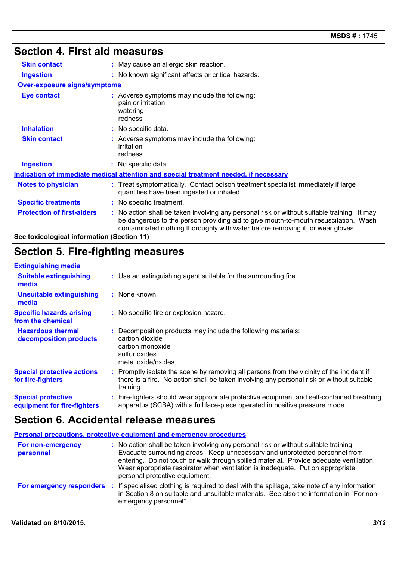# **Section 4. First aid measures**

| <b>Skin contact</b>                        | : May cause an allergic skin reaction.                                                                                                                                                                                                                                |
|--------------------------------------------|-----------------------------------------------------------------------------------------------------------------------------------------------------------------------------------------------------------------------------------------------------------------------|
| <b>Ingestion</b>                           | : No known significant effects or critical hazards.                                                                                                                                                                                                                   |
| <b>Over-exposure signs/symptoms</b>        |                                                                                                                                                                                                                                                                       |
| <b>Eye contact</b>                         | : Adverse symptoms may include the following:<br>pain or irritation<br>watering<br>redness                                                                                                                                                                            |
| <b>Inhalation</b>                          | : No specific data.                                                                                                                                                                                                                                                   |
| <b>Skin contact</b>                        | : Adverse symptoms may include the following:<br>irritation<br>redness                                                                                                                                                                                                |
| <b>Ingestion</b>                           | : No specific data.                                                                                                                                                                                                                                                   |
|                                            | <u>Indication of immediate medical attention and special treatment needed, if necessary</u>                                                                                                                                                                           |
| <b>Notes to physician</b>                  | : Treat symptomatically. Contact poison treatment specialist immediately if large<br>quantities have been ingested or inhaled.                                                                                                                                        |
| <b>Specific treatments</b>                 | : No specific treatment.                                                                                                                                                                                                                                              |
| <b>Protection of first-aiders</b>          | : No action shall be taken involving any personal risk or without suitable training. It may<br>be dangerous to the person providing aid to give mouth-to-mouth resuscitation. Wash<br>contaminated clothing thoroughly with water before removing it, or wear gloves. |
| See toxicological information (Section 11) |                                                                                                                                                                                                                                                                       |

### **Section 5. Fire-fighting measures**

#### **:** Promptly isolate the scene by removing all persons from the vicinity of the incident if there is a fire. No action shall be taken involving any personal risk or without suitable training. **Hazardous thermal decomposition products Specific hazards arising from the chemical** Decomposition products may include the following materials: **:** carbon dioxide carbon monoxide sulfur oxides metal oxide/oxides **:** No specific fire or explosion hazard. Fire-fighters should wear appropriate protective equipment and self-contained breathing **:** apparatus (SCBA) with a full face-piece operated in positive pressure mode. **Special protective equipment for fire-fighters** Use an extinguishing agent suitable for the surrounding fire. **: Extinguishing media :** None known. **Suitable extinguishing media Unsuitable extinguishing media Special protective actions for fire-fighters**

### **Section 6. Accidental release measures**

|                                | Personal precautions, protective equipment and emergency procedures                                                                                                                                                                                                                                                                                                               |
|--------------------------------|-----------------------------------------------------------------------------------------------------------------------------------------------------------------------------------------------------------------------------------------------------------------------------------------------------------------------------------------------------------------------------------|
| For non-emergency<br>personnel | : No action shall be taken involving any personal risk or without suitable training.<br>Evacuate surrounding areas. Keep unnecessary and unprotected personnel from<br>entering. Do not touch or walk through spilled material. Provide adequate ventilation.<br>Wear appropriate respirator when ventilation is inadequate. Put on appropriate<br>personal protective equipment. |
| For emergency responders :     | If specialised clothing is required to deal with the spillage, take note of any information<br>in Section 8 on suitable and unsuitable materials. See also the information in "For non-<br>emergency personnel".                                                                                                                                                                  |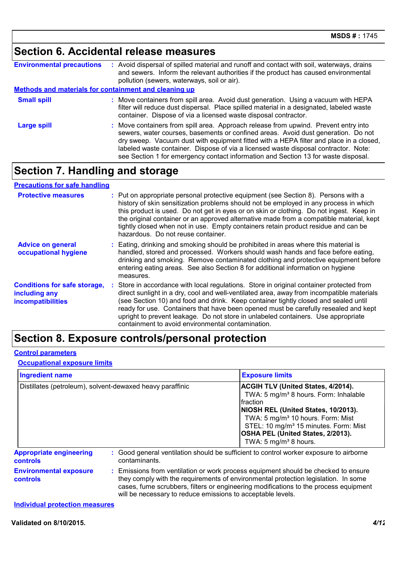# **Section 6. Accidental release measures**

| <b>Environmental precautions</b>                      | : Avoid dispersal of spilled material and runoff and contact with soil, waterways, drains<br>and sewers. Inform the relevant authorities if the product has caused environmental<br>pollution (sewers, waterways, soil or air).                                                                                                                                                                                                                 |
|-------------------------------------------------------|-------------------------------------------------------------------------------------------------------------------------------------------------------------------------------------------------------------------------------------------------------------------------------------------------------------------------------------------------------------------------------------------------------------------------------------------------|
| Methods and materials for containment and cleaning up |                                                                                                                                                                                                                                                                                                                                                                                                                                                 |
| <b>Small spill</b>                                    | : Move containers from spill area. Avoid dust generation. Using a vacuum with HEPA<br>filter will reduce dust dispersal. Place spilled material in a designated, labeled waste<br>container. Dispose of via a licensed waste disposal contractor.                                                                                                                                                                                               |
| <b>Large spill</b>                                    | : Move containers from spill area. Approach release from upwind. Prevent entry into<br>sewers, water courses, basements or confined areas. Avoid dust generation. Do not<br>dry sweep. Vacuum dust with equipment fitted with a HEPA filter and place in a closed,<br>labeled waste container. Dispose of via a licensed waste disposal contractor. Note:<br>see Section 1 for emergency contact information and Section 13 for waste disposal. |

# **Section 7. Handling and storage**

### **Precautions for safe handling**

| <b>Protective measures</b>                                                | : Put on appropriate personal protective equipment (see Section 8). Persons with a<br>history of skin sensitization problems should not be employed in any process in which<br>this product is used. Do not get in eyes or on skin or clothing. Do not ingest. Keep in<br>the original container or an approved alternative made from a compatible material, kept<br>tightly closed when not in use. Empty containers retain product residue and can be<br>hazardous. Do not reuse container.                 |
|---------------------------------------------------------------------------|---------------------------------------------------------------------------------------------------------------------------------------------------------------------------------------------------------------------------------------------------------------------------------------------------------------------------------------------------------------------------------------------------------------------------------------------------------------------------------------------------------------|
| <b>Advice on general</b><br>occupational hygiene                          | : Eating, drinking and smoking should be prohibited in areas where this material is<br>handled, stored and processed. Workers should wash hands and face before eating,<br>drinking and smoking. Remove contaminated clothing and protective equipment before<br>entering eating areas. See also Section 8 for additional information on hygiene<br>measures.                                                                                                                                                 |
| <b>Conditions for safe storage,</b><br>including any<br>incompatibilities | : Store in accordance with local regulations. Store in original container protected from<br>direct sunlight in a dry, cool and well-ventilated area, away from incompatible materials<br>(see Section 10) and food and drink. Keep container tightly closed and sealed until<br>ready for use. Containers that have been opened must be carefully resealed and kept<br>upright to prevent leakage. Do not store in unlabeled containers. Use appropriate<br>containment to avoid environmental contamination. |

### **Section 8. Exposure controls/personal protection**

#### **Control parameters**

#### **Occupational exposure limits**

| <b>Ingredient name</b><br>Distillates (petroleum), solvent-dewaxed heavy paraffinic |                                                                                                                                                                                                                                                                                                                                 | <b>Exposure limits</b>                                                                                                                                                                                                                                                                                                          |  |
|-------------------------------------------------------------------------------------|---------------------------------------------------------------------------------------------------------------------------------------------------------------------------------------------------------------------------------------------------------------------------------------------------------------------------------|---------------------------------------------------------------------------------------------------------------------------------------------------------------------------------------------------------------------------------------------------------------------------------------------------------------------------------|--|
|                                                                                     |                                                                                                                                                                                                                                                                                                                                 | <b>ACGIH TLV (United States, 4/2014).</b><br>TWA: 5 mg/m <sup>3</sup> 8 hours. Form: Inhalable<br><b>Ifraction</b><br>NIOSH REL (United States, 10/2013).<br>TWA: 5 mg/m <sup>3</sup> 10 hours. Form: Mist<br>STEL: 10 mg/m <sup>3</sup> 15 minutes. Form: Mist<br>OSHA PEL (United States, 2/2013).<br>TWA: 5 $mg/m3$ 8 hours. |  |
| <b>Appropriate engineering</b><br><b>controls</b>                                   | contaminants.                                                                                                                                                                                                                                                                                                                   | : Good general ventilation should be sufficient to control worker exposure to airborne                                                                                                                                                                                                                                          |  |
| <b>Environmental exposure</b><br>controls                                           | : Emissions from ventilation or work process equipment should be checked to ensure<br>they comply with the requirements of environmental protection legislation. In some<br>cases, fume scrubbers, filters or engineering modifications to the process equipment<br>will be necessary to reduce emissions to acceptable levels. |                                                                                                                                                                                                                                                                                                                                 |  |

#### **Individual protection measures**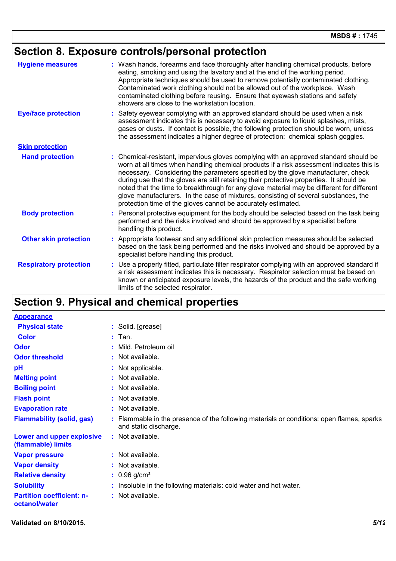# **Section 8. Exposure controls/personal protection**

| <b>Hygiene measures</b>       | : Wash hands, forearms and face thoroughly after handling chemical products, before<br>eating, smoking and using the lavatory and at the end of the working period.<br>Appropriate techniques should be used to remove potentially contaminated clothing.<br>Contaminated work clothing should not be allowed out of the workplace. Wash<br>contaminated clothing before reusing. Ensure that eyewash stations and safety<br>showers are close to the workstation location.                                                                                                                                            |
|-------------------------------|------------------------------------------------------------------------------------------------------------------------------------------------------------------------------------------------------------------------------------------------------------------------------------------------------------------------------------------------------------------------------------------------------------------------------------------------------------------------------------------------------------------------------------------------------------------------------------------------------------------------|
| <b>Eye/face protection</b>    | : Safety eyewear complying with an approved standard should be used when a risk<br>assessment indicates this is necessary to avoid exposure to liquid splashes, mists,<br>gases or dusts. If contact is possible, the following protection should be worn, unless<br>the assessment indicates a higher degree of protection: chemical splash goggles.                                                                                                                                                                                                                                                                  |
| <b>Skin protection</b>        |                                                                                                                                                                                                                                                                                                                                                                                                                                                                                                                                                                                                                        |
| <b>Hand protection</b>        | : Chemical-resistant, impervious gloves complying with an approved standard should be<br>worn at all times when handling chemical products if a risk assessment indicates this is<br>necessary. Considering the parameters specified by the glove manufacturer, check<br>during use that the gloves are still retaining their protective properties. It should be<br>noted that the time to breakthrough for any glove material may be different for different<br>glove manufacturers. In the case of mixtures, consisting of several substances, the<br>protection time of the gloves cannot be accurately estimated. |
| <b>Body protection</b>        | : Personal protective equipment for the body should be selected based on the task being<br>performed and the risks involved and should be approved by a specialist before<br>handling this product.                                                                                                                                                                                                                                                                                                                                                                                                                    |
| <b>Other skin protection</b>  | : Appropriate footwear and any additional skin protection measures should be selected<br>based on the task being performed and the risks involved and should be approved by a<br>specialist before handling this product.                                                                                                                                                                                                                                                                                                                                                                                              |
| <b>Respiratory protection</b> | : Use a properly fitted, particulate filter respirator complying with an approved standard if<br>a risk assessment indicates this is necessary. Respirator selection must be based on<br>known or anticipated exposure levels, the hazards of the product and the safe working<br>limits of the selected respirator.                                                                                                                                                                                                                                                                                                   |

# **Section 9. Physical and chemical properties**

| <b>Appearance</b>                                 |                                                                                                                    |  |
|---------------------------------------------------|--------------------------------------------------------------------------------------------------------------------|--|
| <b>Physical state</b>                             | : Solid. [grease]                                                                                                  |  |
| <b>Color</b>                                      | $:$ Tan.                                                                                                           |  |
| <b>Odor</b>                                       | Mild. Petroleum oil                                                                                                |  |
| <b>Odor threshold</b>                             | : Not available.                                                                                                   |  |
| pH                                                | : Not applicable.                                                                                                  |  |
| <b>Melting point</b>                              | : Not available.                                                                                                   |  |
| <b>Boiling point</b>                              | : Not available.                                                                                                   |  |
| <b>Flash point</b>                                | : Not available.                                                                                                   |  |
| <b>Evaporation rate</b>                           | : Not available.                                                                                                   |  |
| <b>Flammability (solid, gas)</b>                  | : Flammable in the presence of the following materials or conditions: open flames, sparks<br>and static discharge. |  |
| Lower and upper explosive<br>(flammable) limits   | : Not available.                                                                                                   |  |
| <b>Vapor pressure</b>                             | : Not available.                                                                                                   |  |
| <b>Vapor density</b>                              | : Not available.                                                                                                   |  |
| <b>Relative density</b>                           | $: 0.96$ g/cm <sup>3</sup>                                                                                         |  |
| <b>Solubility</b>                                 | Insoluble in the following materials: cold water and hot water.                                                    |  |
| <b>Partition coefficient: n-</b><br>octanol/water | : Not available.                                                                                                   |  |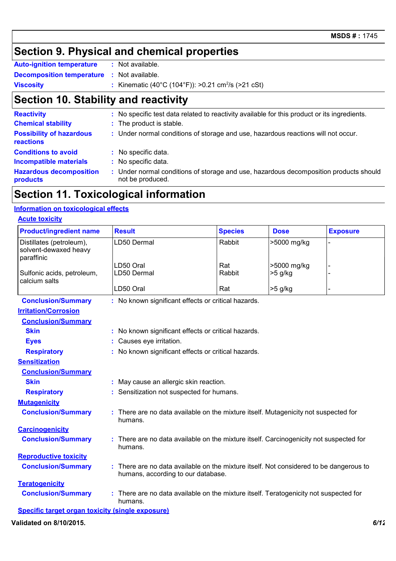### **Section 9. Physical and chemical properties**

| <b>Auto-ignition temperature</b> | : Not available. |  |
|----------------------------------|------------------|--|
| <b>Decomposition temperature</b> | : Not available. |  |

**Viscosity** : Kinematic (40°C (104°F)): >0.21 cm<sup>2</sup>/s (>21 cSt)

### **Section 10. Stability and reactivity**

| <b>Reactivity</b>                            | : No specific test data related to reactivity available for this product or its ingredients.            |
|----------------------------------------------|---------------------------------------------------------------------------------------------------------|
| <b>Chemical stability</b>                    | : The product is stable.                                                                                |
| <b>Possibility of hazardous</b><br>reactions | : Under normal conditions of storage and use, hazardous reactions will not occur.                       |
| <b>Conditions to avoid</b>                   | : No specific data.                                                                                     |
| <b>Incompatible materials</b>                | : No specific data.                                                                                     |
| <b>Hazardous decomposition</b><br>products   | Under normal conditions of storage and use, hazardous decomposition products should<br>not be produced. |

### **Section 11. Toxicological information**

### **Information on toxicological effects**

### **Acute toxicity**

| <b>Product/ingredient name</b>                                  | <b>Result</b>                                                                                                                | <b>Species</b>                            | <b>Dose</b> | <b>Exposure</b> |  |  |  |
|-----------------------------------------------------------------|------------------------------------------------------------------------------------------------------------------------------|-------------------------------------------|-------------|-----------------|--|--|--|
| Distillates (petroleum),<br>solvent-dewaxed heavy<br>paraffinic | LD50 Dermal                                                                                                                  | Rabbit                                    | >5000 mg/kg |                 |  |  |  |
|                                                                 | LD50 Oral                                                                                                                    | Rat                                       | >5000 mg/kg |                 |  |  |  |
| Sulfonic acids, petroleum,<br>calcium salts                     | LD50 Dermal                                                                                                                  | Rabbit                                    | $>5$ g/kg   |                 |  |  |  |
|                                                                 | LD50 Oral                                                                                                                    | Rat                                       | >5 g/kg     |                 |  |  |  |
| <b>Conclusion/Summary</b>                                       | : No known significant effects or critical hazards.                                                                          |                                           |             |                 |  |  |  |
| <b>Irritation/Corrosion</b>                                     |                                                                                                                              |                                           |             |                 |  |  |  |
| <b>Conclusion/Summary</b>                                       |                                                                                                                              |                                           |             |                 |  |  |  |
| <b>Skin</b>                                                     | : No known significant effects or critical hazards.                                                                          |                                           |             |                 |  |  |  |
| <b>Eyes</b>                                                     | Causes eye irritation.                                                                                                       |                                           |             |                 |  |  |  |
| <b>Respiratory</b>                                              | No known significant effects or critical hazards.                                                                            |                                           |             |                 |  |  |  |
| <b>Sensitization</b>                                            |                                                                                                                              |                                           |             |                 |  |  |  |
| <b>Conclusion/Summary</b>                                       |                                                                                                                              |                                           |             |                 |  |  |  |
| <b>Skin</b>                                                     | : May cause an allergic skin reaction.                                                                                       |                                           |             |                 |  |  |  |
| <b>Respiratory</b>                                              |                                                                                                                              | : Sensitization not suspected for humans. |             |                 |  |  |  |
| <b>Mutagenicity</b>                                             |                                                                                                                              |                                           |             |                 |  |  |  |
| <b>Conclusion/Summary</b>                                       | : There are no data available on the mixture itself. Mutagenicity not suspected for<br>humans.                               |                                           |             |                 |  |  |  |
| <b>Carcinogenicity</b>                                          |                                                                                                                              |                                           |             |                 |  |  |  |
| <b>Conclusion/Summary</b>                                       | : There are no data available on the mixture itself. Carcinogenicity not suspected for<br>humans.                            |                                           |             |                 |  |  |  |
| <b>Reproductive toxicity</b>                                    |                                                                                                                              |                                           |             |                 |  |  |  |
| <b>Conclusion/Summary</b>                                       | : There are no data available on the mixture itself. Not considered to be dangerous to<br>humans, according to our database. |                                           |             |                 |  |  |  |
| <b>Teratogenicity</b>                                           |                                                                                                                              |                                           |             |                 |  |  |  |
| <b>Conclusion/Summary</b>                                       | : There are no data available on the mixture itself. Teratogenicity not suspected for<br>humans.                             |                                           |             |                 |  |  |  |
| Specific target organ toxicity (single exposure)                |                                                                                                                              |                                           |             |                 |  |  |  |

**Validated on 8/10/2015.** *6/12*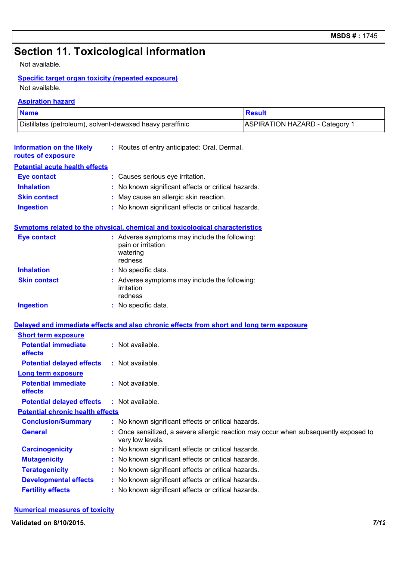# **Section 11. Toxicological information**

Not available.

### **Specific target organ toxicity (repeated exposure)**

Not available.

#### **Aspiration hazard**

| <b>Name</b>                                               |                                                                                            | <b>Result</b>                                                                      |
|-----------------------------------------------------------|--------------------------------------------------------------------------------------------|------------------------------------------------------------------------------------|
| Distillates (petroleum), solvent-dewaxed heavy paraffinic |                                                                                            | <b>ASPIRATION HAZARD - Category 1</b>                                              |
| <b>Information on the likely</b><br>routes of exposure    | : Routes of entry anticipated: Oral, Dermal.                                               |                                                                                    |
| <b>Potential acute health effects</b>                     |                                                                                            |                                                                                    |
| <b>Eye contact</b>                                        | : Causes serious eye irritation.                                                           |                                                                                    |
| <b>Inhalation</b>                                         | No known significant effects or critical hazards.                                          |                                                                                    |
| <b>Skin contact</b>                                       | May cause an allergic skin reaction.                                                       |                                                                                    |
| <b>Ingestion</b>                                          | : No known significant effects or critical hazards.                                        |                                                                                    |
|                                                           | Symptoms related to the physical, chemical and toxicological characteristics               |                                                                                    |
| <b>Eye contact</b>                                        | : Adverse symptoms may include the following:<br>pain or irritation<br>watering<br>redness |                                                                                    |
| <b>Inhalation</b>                                         | : No specific data.                                                                        |                                                                                    |
| <b>Skin contact</b>                                       | : Adverse symptoms may include the following:<br>irritation<br>redness                     |                                                                                    |
| <b>Ingestion</b>                                          | : No specific data.                                                                        |                                                                                    |
|                                                           | Delayed and immediate effects and also chronic effects from short and long term exposure   |                                                                                    |
| <b>Short term exposure</b>                                |                                                                                            |                                                                                    |
| <b>Potential immediate</b><br>effects                     | : Not available.                                                                           |                                                                                    |
| <b>Potential delayed effects</b>                          | : Not available.                                                                           |                                                                                    |
| <b>Long term exposure</b>                                 |                                                                                            |                                                                                    |
| <b>Potential immediate</b><br>effects                     | : Not available.                                                                           |                                                                                    |
| <b>Potential delayed effects</b>                          | : Not available.                                                                           |                                                                                    |
| <b>Potential chronic health effects</b>                   |                                                                                            |                                                                                    |
| <b>Conclusion/Summary</b>                                 | : No known significant effects or critical hazards.                                        |                                                                                    |
| <b>General</b>                                            | very low levels.                                                                           | Once sensitized, a severe allergic reaction may occur when subsequently exposed to |
| <b>Carcinogenicity</b>                                    | No known significant effects or critical hazards.                                          |                                                                                    |
| <b>Mutagenicity</b>                                       | No known significant effects or critical hazards.                                          |                                                                                    |
| <b>Teratogenicity</b>                                     | No known significant effects or critical hazards.                                          |                                                                                    |
| <b>Developmental effects</b>                              | No known significant effects or critical hazards.                                          |                                                                                    |
| <b>Fertility effects</b>                                  | No known significant effects or critical hazards.                                          |                                                                                    |

### **Numerical measures of toxicity**

**Validated on 8/10/2015.** *7/12*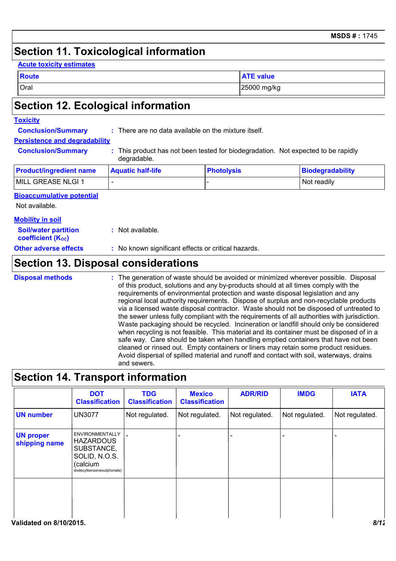### **Section 11. Toxicological information**

|--|

| <b>Route</b> | <b>ATE value</b> |
|--------------|------------------|
| Oral         | 25000 mg/kg      |

# **Section 12. Ecological information**

### **Toxicity**

**Conclusion/Summary :** There are no data available on the mixture itself.

### **Persistence and degradability**

**Conclusion/Summary :** This product has not been tested for biodegradation. Not expected to be rapidly degradable.

| <b>Product/ingredient name</b> | <b>Aquatic half-life</b> | <b>Photolysis</b> | Biodegradability |
|--------------------------------|--------------------------|-------------------|------------------|
| MILL GREASE NLGI 1             |                          |                   | l Not readilv    |

### **Bioaccumulative potential**

Not available.

#### **Mobility in soil**

| <b>Soil/water partition</b><br><b>coefficient (Koc)</b> | : Not available. |
|---------------------------------------------------------|------------------|
|                                                         |                  |

### **Other adverse effects** : No known significant effects or critical hazards.

### **Section 13. Disposal considerations**

The generation of waste should be avoided or minimized wherever possible. Disposal of this product, solutions and any by-products should at all times comply with the requirements of environmental protection and waste disposal legislation and any regional local authority requirements. Dispose of surplus and non-recyclable products via a licensed waste disposal contractor. Waste should not be disposed of untreated to the sewer unless fully compliant with the requirements of all authorities with jurisdiction. Waste packaging should be recycled. Incineration or landfill should only be considered when recycling is not feasible. This material and its container must be disposed of in a safe way. Care should be taken when handling emptied containers that have not been cleaned or rinsed out. Empty containers or liners may retain some product residues. Avoid dispersal of spilled material and runoff and contact with soil, waterways, drains and sewers. **Disposal methods :**

### **Section 14. Transport information**

|                                   | <b>DOT</b><br><b>Classification</b>                                                                                | <b>TDG</b><br><b>Classification</b> | <b>Mexico</b><br><b>Classification</b> | <b>ADR/RID</b> | <b>IMDG</b>    | <b>IATA</b>    |
|-----------------------------------|--------------------------------------------------------------------------------------------------------------------|-------------------------------------|----------------------------------------|----------------|----------------|----------------|
| <b>UN number</b>                  | <b>UN3077</b>                                                                                                      | Not regulated.                      | Not regulated.                         | Not regulated. | Not regulated. | Not regulated. |
| <b>UN proper</b><br>shipping name | <b>ENVIRONMENTALLY</b><br><b>HAZARDOUS</b><br>SUBSTANCE,<br>SOLID, N.O.S.<br>(calcium<br>dodecylbenzenesulphonate) | $\overline{a}$                      |                                        |                |                |                |
|                                   |                                                                                                                    |                                     |                                        |                |                |                |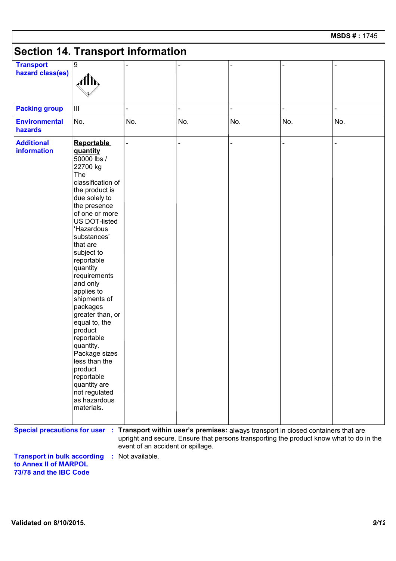# **Section 14. Transport information**

| <b>Transport</b><br>hazard class(es)                                                                            | 9<br>Alh,                                                                                                                                                                                                                                                                                                                                                                                                                                                                                                                              |                                                                                                                              |     |     |     |     |
|-----------------------------------------------------------------------------------------------------------------|----------------------------------------------------------------------------------------------------------------------------------------------------------------------------------------------------------------------------------------------------------------------------------------------------------------------------------------------------------------------------------------------------------------------------------------------------------------------------------------------------------------------------------------|------------------------------------------------------------------------------------------------------------------------------|-----|-----|-----|-----|
| <b>Packing group</b>                                                                                            | Ш                                                                                                                                                                                                                                                                                                                                                                                                                                                                                                                                      |                                                                                                                              | -   |     |     |     |
| <b>Environmental</b><br>hazards                                                                                 | No.                                                                                                                                                                                                                                                                                                                                                                                                                                                                                                                                    | No.                                                                                                                          | No. | No. | No. | No. |
| <b>Additional</b><br><b>information</b>                                                                         | <b>Reportable</b><br>quantity<br>50000 lbs /<br>22700 kg<br>The<br>classification of<br>the product is<br>due solely to<br>the presence<br>of one or more<br>US DOT-listed<br>'Hazardous<br>substances'<br>that are<br>subject to<br>reportable<br>quantity<br>requirements<br>and only<br>applies to<br>shipments of<br>packages<br>greater than, or<br>equal to, the<br>product<br>reportable<br>quantity.<br>Package sizes<br>less than the<br>product<br>reportable<br>quantity are<br>not regulated<br>as hazardous<br>materials. |                                                                                                                              |     |     |     |     |
| Special precautions for user : Transport within user's premises: always transport in closed containers that are |                                                                                                                                                                                                                                                                                                                                                                                                                                                                                                                                        | upright and secure. Ensure that persons transporting the product know what to do in the<br>event of an accident or spillage. |     |     |     |     |

**Transport in bulk according to Annex II of MARPOL 73/78 and the IBC Code :** Not available.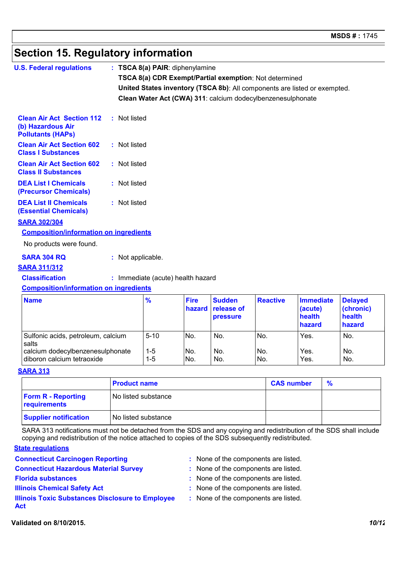# **Section 15. Regulatory information**

| <b>U.S. Federal regulations</b>                                                   |                   | $:$ TSCA 8(a) PAIR: diphenylamine                                         |                       |                                                |                                                               |                                       |                                       |  |
|-----------------------------------------------------------------------------------|-------------------|---------------------------------------------------------------------------|-----------------------|------------------------------------------------|---------------------------------------------------------------|---------------------------------------|---------------------------------------|--|
|                                                                                   |                   |                                                                           |                       |                                                |                                                               |                                       |                                       |  |
|                                                                                   |                   |                                                                           |                       |                                                | <b>TSCA 8(a) CDR Exempt/Partial exemption: Not determined</b> |                                       |                                       |  |
|                                                                                   |                   | United States inventory (TSCA 8b): All components are listed or exempted. |                       |                                                |                                                               |                                       |                                       |  |
|                                                                                   |                   |                                                                           |                       |                                                | Clean Water Act (CWA) 311: calcium dodecylbenzenesulphonate   |                                       |                                       |  |
| <b>Clean Air Act Section 112</b><br>(b) Hazardous Air<br><b>Pollutants (HAPs)</b> | : Not listed      |                                                                           |                       |                                                |                                                               |                                       |                                       |  |
| <b>Clean Air Act Section 602</b><br><b>Class I Substances</b>                     | : Not listed      |                                                                           |                       |                                                |                                                               |                                       |                                       |  |
| <b>Clean Air Act Section 602</b><br><b>Class II Substances</b>                    | : Not listed      |                                                                           |                       |                                                |                                                               |                                       |                                       |  |
| <b>DEA List I Chemicals</b><br>(Precursor Chemicals)                              | : Not listed      |                                                                           |                       |                                                |                                                               |                                       |                                       |  |
| <b>DEA List II Chemicals</b><br><b>(Essential Chemicals)</b>                      | : Not listed      |                                                                           |                       |                                                |                                                               |                                       |                                       |  |
| <b>SARA 302/304</b>                                                               |                   |                                                                           |                       |                                                |                                                               |                                       |                                       |  |
| <b>Composition/information on ingredients</b>                                     |                   |                                                                           |                       |                                                |                                                               |                                       |                                       |  |
| No products were found.                                                           |                   |                                                                           |                       |                                                |                                                               |                                       |                                       |  |
| <b>SARA 304 RQ</b>                                                                | : Not applicable. |                                                                           |                       |                                                |                                                               |                                       |                                       |  |
| <b>SARA 311/312</b>                                                               |                   |                                                                           |                       |                                                |                                                               |                                       |                                       |  |
| <b>Classification</b>                                                             |                   | : Immediate (acute) health hazard                                         |                       |                                                |                                                               |                                       |                                       |  |
| <b>Composition/information on ingredients</b>                                     |                   |                                                                           |                       |                                                |                                                               |                                       |                                       |  |
| <b>Name</b>                                                                       |                   | $\frac{9}{6}$                                                             | <b>Fire</b><br>hazard | <b>Sudden</b><br>release of<br><b>Drassure</b> | <b>Reactive</b>                                               | <b>Immediate</b><br>(acute)<br>health | <b>Delayed</b><br>(chronic)<br>health |  |

|                                                                |              |            | hazard release of<br><b>pressure</b> |                                    | (acute)<br>health<br>hazard | (chronic)<br>health<br>hazard |
|----------------------------------------------------------------|--------------|------------|--------------------------------------|------------------------------------|-----------------------------|-------------------------------|
| Sulfonic acids, petroleum, calcium<br>salts                    | $5 - 10$     | No.        | No.                                  | IN <sub>o</sub>                    | Yes.                        | No.                           |
| calcium dodecylbenzenesulphonate<br>diboron calcium tetraoxide | 1-5<br>$1-5$ | No.<br>No. | No.<br>No.                           | IN <sub>o</sub><br>IN <sub>o</sub> | Yes.<br>Yes.                | No.<br>No.                    |

### **SARA 313**

|                                           | <b>Product name</b> | <b>CAS number</b> | % |
|-------------------------------------------|---------------------|-------------------|---|
| <b>Form R - Reporting</b><br>requirements | No listed substance |                   |   |
| <b>Supplier notification</b>              | No listed substance |                   |   |

SARA 313 notifications must not be detached from the SDS and any copying and redistribution of the SDS shall include copying and redistribution of the notice attached to copies of the SDS subsequently redistributed.

### **State regulations**

- **Connecticut Carcinogen Reporting :** None of the components are listed.
- **Connecticut Hazardous Material Survey :** None of the components are listed.
- 
- -
- 
- 
- **Florida substances :** None of the components are listed.
- **Illinois Chemical Safety Act :** None of the components are listed.
- **Illinois Toxic Substances Disclosure to Employee Act**
- : None of the components are listed.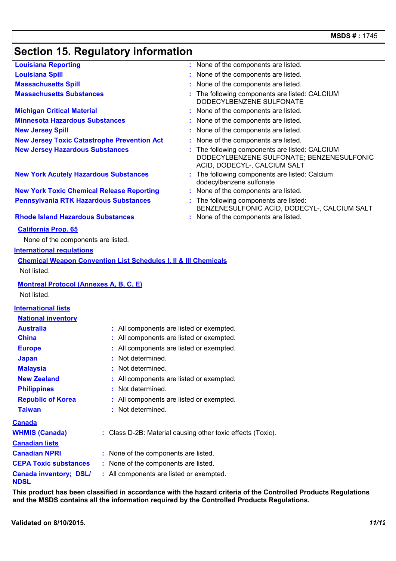# **Section 15. Regulatory information**

| <b>Louisiana Reporting</b>                                                 | : None of the components are listed.                                                                                        |
|----------------------------------------------------------------------------|-----------------------------------------------------------------------------------------------------------------------------|
| <b>Louisiana Spill</b>                                                     | : None of the components are listed.                                                                                        |
| <b>Massachusetts Spill</b>                                                 | None of the components are listed.                                                                                          |
| <b>Massachusetts Substances</b>                                            | : The following components are listed: CALCIUM<br>DODECYLBENZENE SULFONATE                                                  |
| <b>Michigan Critical Material</b>                                          | : None of the components are listed.                                                                                        |
| <b>Minnesota Hazardous Substances</b>                                      | : None of the components are listed.                                                                                        |
| <b>New Jersey Spill</b>                                                    | : None of the components are listed.                                                                                        |
| <b>New Jersey Toxic Catastrophe Prevention Act</b>                         | : None of the components are listed.                                                                                        |
| <b>New Jersey Hazardous Substances</b>                                     | : The following components are listed: CALCIUM<br>DODECYLBENZENE SULFONATE; BENZENESULFONIC<br>ACID, DODECYL-, CALCIUM SALT |
| <b>New York Acutely Hazardous Substances</b>                               | : The following components are listed: Calcium<br>dodecylbenzene sulfonate                                                  |
| <b>New York Toxic Chemical Release Reporting</b>                           | : None of the components are listed.                                                                                        |
| Pennsylvania RTK Hazardous Substances                                      | : The following components are listed:<br>BENZENESULFONIC ACID, DODECYL-, CALCIUM SALT                                      |
| <b>Rhode Island Hazardous Substances</b>                                   | : None of the components are listed.                                                                                        |
| <b>California Prop. 65</b>                                                 |                                                                                                                             |
| None of the components are listed.                                         |                                                                                                                             |
| <b>International requlations</b>                                           |                                                                                                                             |
| <b>Chemical Weapon Convention List Schedules I, II &amp; III Chemicals</b> |                                                                                                                             |
| Not listed.                                                                |                                                                                                                             |
| <b>Montreal Protocol (Annexes A, B, C, E)</b><br>Not listed.               |                                                                                                                             |
|                                                                            |                                                                                                                             |
| <b>International lists</b>                                                 |                                                                                                                             |
| <b>National inventory</b>                                                  |                                                                                                                             |

| <u> 1121 - 1121 - 1111 - 1111 - 11</u> |                                                             |  |
|----------------------------------------|-------------------------------------------------------------|--|
| <b>Australia</b>                       | : All components are listed or exempted.                    |  |
| <b>China</b>                           | : All components are listed or exempted.                    |  |
| <b>Europe</b>                          | : All components are listed or exempted.                    |  |
| <b>Japan</b>                           | : Not determined.                                           |  |
| <b>Malaysia</b>                        | : Not determined.                                           |  |
| <b>New Zealand</b>                     | : All components are listed or exempted.                    |  |
| <b>Philippines</b>                     | : Not determined.                                           |  |
| <b>Republic of Korea</b>               | : All components are listed or exempted.                    |  |
| <b>Taiwan</b>                          | : Not determined.                                           |  |
| <u>Canada</u>                          |                                                             |  |
| <b>WHMIS (Canada)</b>                  | : Class D-2B: Material causing other toxic effects (Toxic). |  |
| <b>Canadian lists</b>                  |                                                             |  |
| <b>Canadian NPRI</b>                   | : None of the components are listed.                        |  |
| <b>CEPA Toxic substances</b>           | : None of the components are listed.                        |  |
| <b>Canada inventory; DSL/</b><br>NDSL  | : All components are listed or exempted.                    |  |
|                                        |                                                             |  |

**This product has been classified in accordance with the hazard criteria of the Controlled Products Regulations and the MSDS contains all the information required by the Controlled Products Regulations.**